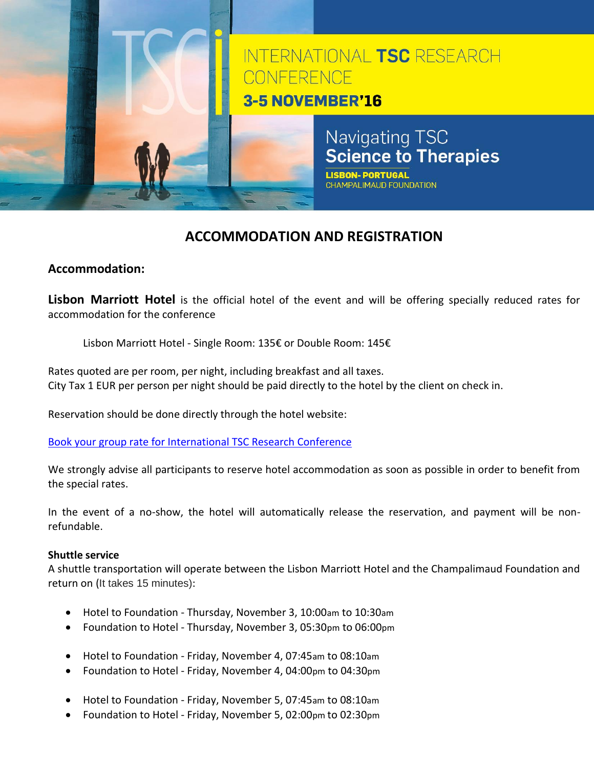

# **ACCOMMODATION AND REGISTRATION**

## **Accommodation:**

**Lisbon Marriott Hotel** is the official hotel of the event and will be offering specially reduced rates for accommodation for the conference

Lisbon Marriott Hotel - Single Room: 135€ or Double Room: 145€

Rates quoted are per room, per night, including breakfast and all taxes. City Tax 1 EUR per person per night should be paid directly to the hotel by the client on check in.

Reservation should be done directly through the hotel website:

[Book your group rate for International TSC Research Conference](http://www.marriott.com/meeting-event-hotels/group-corporate-travel/groupCorp.mi?resLinkData=International%20TSC%20Research%20Conference%20%5Elispt%60RN7RN7A%60135%60EUR%60false%602%6011/2/16%6011/10/16%6010/6/16&app=resvlink&stop_mobi=yes) 

We strongly advise all participants to reserve hotel accommodation as soon as possible in order to benefit from the special rates.

In the event of a no-show, the hotel will automatically release the reservation, and payment will be nonrefundable.

## **Shuttle service**

A shuttle transportation will operate between the Lisbon Marriott Hotel and the Champalimaud Foundation and return on (It takes 15 minutes):

- Hotel to Foundation Thursday, November 3, 10:00am to 10:30am
- Foundation to Hotel Thursday, November 3, 05:30pm to 06:00pm
- Hotel to Foundation Friday, November 4, 07:45am to 08:10am
- Foundation to Hotel Friday, November 4, 04:00pm to 04:30pm
- Hotel to Foundation Friday, November 5, 07:45am to 08:10am
- Foundation to Hotel Friday, November 5, 02:00pm to 02:30pm